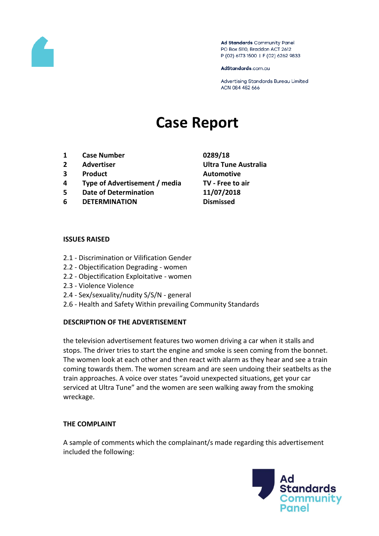

Ad Standards Community Panel PO Box 5110, Braddon ACT 2612 P (02) 6173 1500 | F (02) 6262 9833

AdStandards.com.au

Advertising Standards Bureau Limited ACN 084 452 666

# **Case Report**

- **1 Case Number 0289/18**
- 
- **3 Product Automotive**
- **4 Type of Advertisement / media TV - Free to air**
- **5 Date of Determination 11/07/2018**
- **6 DETERMINATION Dismissed**
- **2 Advertiser Ultra Tune Australia**

#### **ISSUES RAISED**

- 2.1 Discrimination or Vilification Gender
- 2.2 Objectification Degrading women
- 2.2 Objectification Exploitative women
- 2.3 Violence Violence
- 2.4 Sex/sexuality/nudity S/S/N general
- 2.6 Health and Safety Within prevailing Community Standards

## **DESCRIPTION OF THE ADVERTISEMENT**

the television advertisement features two women driving a car when it stalls and stops. The driver tries to start the engine and smoke is seen coming from the bonnet. The women look at each other and then react with alarm as they hear and see a train coming towards them. The women scream and are seen undoing their seatbelts as the train approaches. A voice over states "avoid unexpected situations, get your car serviced at Ultra Tune" and the women are seen walking away from the smoking wreckage.

## **THE COMPLAINT**

A sample of comments which the complainant/s made regarding this advertisement included the following:

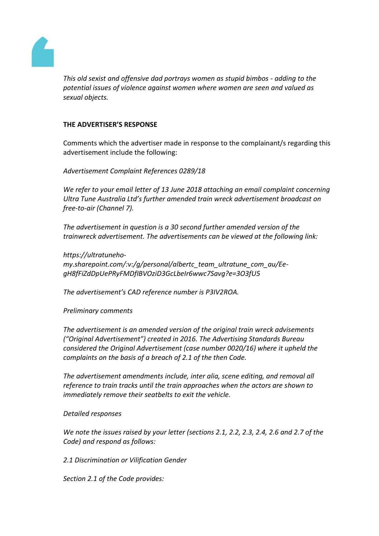

*This old sexist and offensive dad portrays women as stupid bimbos - adding to the potential issues of violence against women where women are seen and valued as sexual objects.*

## **THE ADVERTISER'S RESPONSE**

Comments which the advertiser made in response to the complainant/s regarding this advertisement include the following:

*Advertisement Complaint References 0289/18*

*We refer to your email letter of 13 June 2018 attaching an email complaint concerning Ultra Tune Australia Ltd's further amended train wreck advertisement broadcast on free-to-air (Channel 7).*

*The advertisement in question is a 30 second further amended version of the trainwreck advertisement. The advertisements can be viewed at the following link:*

*https://ultratunehomy.sharepoint.com/:v:/g/personal/albertc\_team\_ultratune\_com\_au/EegH8fFiZdDpUePRyFMDfIBVOziD3GcLbeIr6wwc7Savg?e=3O3fU5*

*The advertisement's CAD reference number is P3IV2ROA.*

*Preliminary comments*

*The advertisement is an amended version of the original train wreck advisements ("Original Advertisement") created in 2016. The Advertising Standards Bureau considered the Original Advertisement (case number 0020/16) where it upheld the complaints on the basis of a breach of 2.1 of the then Code.*

*The advertisement amendments include, inter alia, scene editing, and removal all reference to train tracks until the train approaches when the actors are shown to immediately remove their seatbelts to exit the vehicle.*

*Detailed responses*

*We note the issues raised by your letter (sections 2.1, 2.2, 2.3, 2.4, 2.6 and 2.7 of the Code) and respond as follows:*

*2.1 Discrimination or Vilification Gender*

*Section 2.1 of the Code provides:*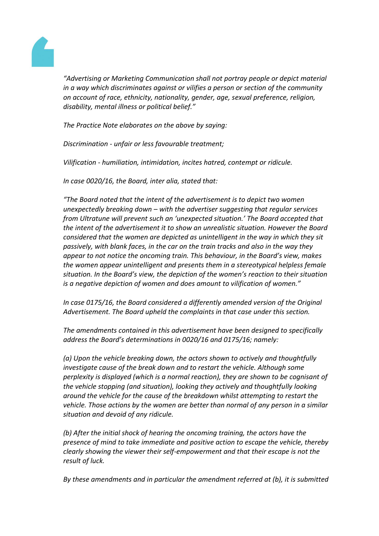

*"Advertising or Marketing Communication shall not portray people or depict material in a way which discriminates against or vilifies a person or section of the community on account of race, ethnicity, nationality, gender, age, sexual preference, religion, disability, mental illness or political belief."*

*The Practice Note elaborates on the above by saying:*

*Discrimination - unfair or less favourable treatment;*

*Vilification - humiliation, intimidation, incites hatred, contempt or ridicule.*

*In case 0020/16, the Board, inter alia, stated that:*

*"The Board noted that the intent of the advertisement is to depict two women unexpectedly breaking down – with the advertiser suggesting that regular services from Ultratune will prevent such an 'unexpected situation.' The Board accepted that the intent of the advertisement it to show an unrealistic situation. However the Board considered that the women are depicted as unintelligent in the way in which they sit passively, with blank faces, in the car on the train tracks and also in the way they appear to not notice the oncoming train. This behaviour, in the Board's view, makes the women appear unintelligent and presents them in a stereotypical helpless female situation. In the Board's view, the depiction of the women's reaction to their situation is a negative depiction of women and does amount to vilification of women."*

*In case 0175/16, the Board considered a differently amended version of the Original Advertisement. The Board upheld the complaints in that case under this section.*

*The amendments contained in this advertisement have been designed to specifically address the Board's determinations in 0020/16 and 0175/16; namely:*

*(a) Upon the vehicle breaking down, the actors shown to actively and thoughtfully investigate cause of the break down and to restart the vehicle. Although some perplexity is displayed (which is a normal reaction), they are shown to be cognisant of the vehicle stopping (and situation), looking they actively and thoughtfully looking around the vehicle for the cause of the breakdown whilst attempting to restart the vehicle. Those actions by the women are better than normal of any person in a similar situation and devoid of any ridicule.*

*(b) After the initial shock of hearing the oncoming training, the actors have the presence of mind to take immediate and positive action to escape the vehicle, thereby clearly showing the viewer their self-empowerment and that their escape is not the result of luck.*

*By these amendments and in particular the amendment referred at (b), it is submitted*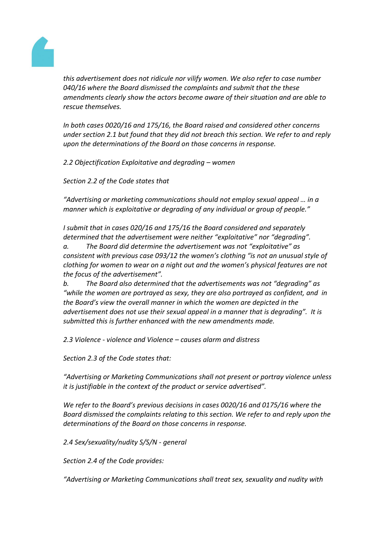

*this advertisement does not ridicule nor vilify women. We also refer to case number 040/16 where the Board dismissed the complaints and submit that the these amendments clearly show the actors become aware of their situation and are able to rescue themselves.*

*In both cases 0020/16 and 175/16, the Board raised and considered other concerns under section 2.1 but found that they did not breach this section. We refer to and reply upon the determinations of the Board on those concerns in response.*

*2.2 Objectification Exploitative and degrading – women*

*Section 2.2 of the Code states that*

*"Advertising or marketing communications should not employ sexual appeal … in a manner which is exploitative or degrading of any individual or group of people."*

*I submit that in cases 020/16 and 175/16 the Board considered and separately determined that the advertisement were neither "exploitative" nor "degrading". a. The Board did determine the advertisement was not "exploitative" as consistent with previous case 093/12 the women's clothing "is not an unusual style of clothing for women to wear on a night out and the women's physical features are not the focus of the advertisement".*

*b. The Board also determined that the advertisements was not "degrading" as "while the women are portrayed as sexy, they are also portrayed as confident, and in the Board's view the overall manner in which the women are depicted in the advertisement does not use their sexual appeal in a manner that is degrading". It is submitted this is further enhanced with the new amendments made.*

*2.3 Violence - violence and Violence – causes alarm and distress*

*Section 2.3 of the Code states that:*

*"Advertising or Marketing Communications shall not present or portray violence unless it is justifiable in the context of the product or service advertised".*

*We refer to the Board's previous decisions in cases 0020/16 and 0175/16 where the Board dismissed the complaints relating to this section. We refer to and reply upon the determinations of the Board on those concerns in response.*

*2.4 Sex/sexuality/nudity S/S/N - general*

*Section 2.4 of the Code provides:*

*"Advertising or Marketing Communications shall treat sex, sexuality and nudity with*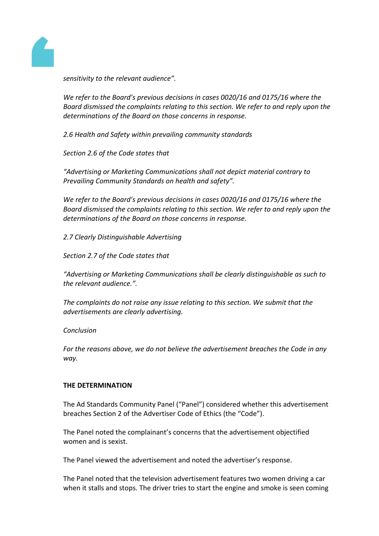

*sensitivity to the relevant audience".*

*We refer to the Board's previous decisions in cases 0020/16 and 0175/16 where the Board dismissed the complaints relating to this section. We refer to and reply upon the determinations of the Board on those concerns in response.*

*2.6 Health and Safety within prevailing community standards*

*Section 2.6 of the Code states that*

*"Advertising or Marketing Communications shall not depict material contrary to Prevailing Community Standards on health and safety".*

*We refer to the Board's previous decisions in cases 0020/16 and 0175/16 where the Board dismissed the complaints relating to this section. We refer to and reply upon the determinations of the Board on those concerns in response.*

*2.7 Clearly Distinguishable Advertising*

*Section 2.7 of the Code states that*

*"Advertising or Marketing Communications shall be clearly distinguishable as such to the relevant audience.".*

*The complaints do not raise any issue relating to this section. We submit that the advertisements are clearly advertising.*

#### *Conclusion*

*For the reasons above, we do not believe the advertisement breaches the Code in any way.*

#### **THE DETERMINATION**

The Ad Standards Community Panel ("Panel") considered whether this advertisement breaches Section 2 of the Advertiser Code of Ethics (the "Code").

The Panel noted the complainant's concerns that the advertisement objectified women and is sexist.

The Panel viewed the advertisement and noted the advertiser's response.

The Panel noted that the television advertisement features two women driving a car when it stalls and stops. The driver tries to start the engine and smoke is seen coming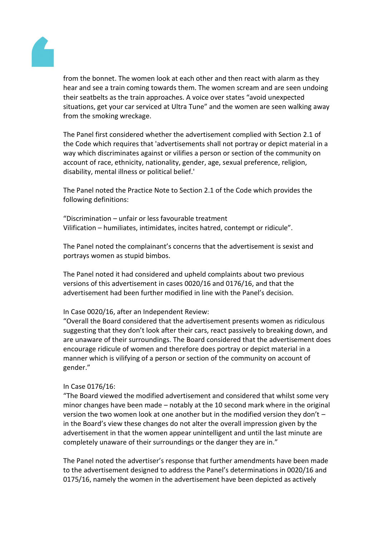

from the bonnet. The women look at each other and then react with alarm as they hear and see a train coming towards them. The women scream and are seen undoing their seatbelts as the train approaches. A voice over states "avoid unexpected situations, get your car serviced at Ultra Tune" and the women are seen walking away from the smoking wreckage.

The Panel first considered whether the advertisement complied with Section 2.1 of the Code which requires that 'advertisements shall not portray or depict material in a way which discriminates against or vilifies a person or section of the community on account of race, ethnicity, nationality, gender, age, sexual preference, religion, disability, mental illness or political belief.'

The Panel noted the Practice Note to Section 2.1 of the Code which provides the following definitions:

"Discrimination – unfair or less favourable treatment Vilification – humiliates, intimidates, incites hatred, contempt or ridicule".

The Panel noted the complainant's concerns that the advertisement is sexist and portrays women as stupid bimbos.

The Panel noted it had considered and upheld complaints about two previous versions of this advertisement in cases 0020/16 and 0176/16, and that the advertisement had been further modified in line with the Panel's decision.

## In Case 0020/16, after an Independent Review:

"Overall the Board considered that the advertisement presents women as ridiculous suggesting that they don't look after their cars, react passively to breaking down, and are unaware of their surroundings. The Board considered that the advertisement does encourage ridicule of women and therefore does portray or depict material in a manner which is vilifying of a person or section of the community on account of gender."

## In Case 0176/16:

"The Board viewed the modified advertisement and considered that whilst some very minor changes have been made – notably at the 10 second mark where in the original version the two women look at one another but in the modified version they don't – in the Board's view these changes do not alter the overall impression given by the advertisement in that the women appear unintelligent and until the last minute are completely unaware of their surroundings or the danger they are in."

The Panel noted the advertiser's response that further amendments have been made to the advertisement designed to address the Panel's determinations in 0020/16 and 0175/16, namely the women in the advertisement have been depicted as actively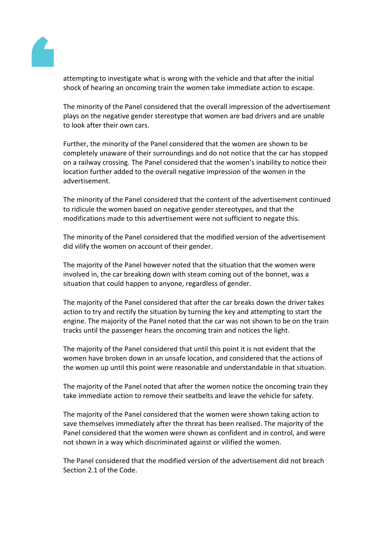

attempting to investigate what is wrong with the vehicle and that after the initial shock of hearing an oncoming train the women take immediate action to escape.

The minority of the Panel considered that the overall impression of the advertisement plays on the negative gender stereotype that women are bad drivers and are unable to look after their own cars.

Further, the minority of the Panel considered that the women are shown to be completely unaware of their surroundings and do not notice that the car has stopped on a railway crossing. The Panel considered that the women's inability to notice their location further added to the overall negative impression of the women in the advertisement.

The minority of the Panel considered that the content of the advertisement continued to ridicule the women based on negative gender stereotypes, and that the modifications made to this advertisement were not sufficient to negate this.

The minority of the Panel considered that the modified version of the advertisement did vilify the women on account of their gender.

The majority of the Panel however noted that the situation that the women were involved in, the car breaking down with steam coming out of the bonnet, was a situation that could happen to anyone, regardless of gender.

The majority of the Panel considered that after the car breaks down the driver takes action to try and rectify the situation by turning the key and attempting to start the engine. The majority of the Panel noted that the car was not shown to be on the train tracks until the passenger hears the oncoming train and notices the light.

The majority of the Panel considered that until this point it is not evident that the women have broken down in an unsafe location, and considered that the actions of the women up until this point were reasonable and understandable in that situation.

The majority of the Panel noted that after the women notice the oncoming train they take immediate action to remove their seatbelts and leave the vehicle for safety.

The majority of the Panel considered that the women were shown taking action to save themselves immediately after the threat has been realised. The majority of the Panel considered that the women were shown as confident and in control, and were not shown in a way which discriminated against or vilified the women.

The Panel considered that the modified version of the advertisement did not breach Section 2.1 of the Code.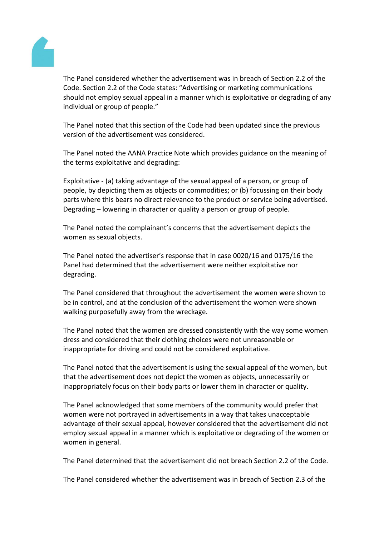

The Panel considered whether the advertisement was in breach of Section 2.2 of the Code. Section 2.2 of the Code states: "Advertising or marketing communications should not employ sexual appeal in a manner which is exploitative or degrading of any individual or group of people."

The Panel noted that this section of the Code had been updated since the previous version of the advertisement was considered.

The Panel noted the AANA Practice Note which provides guidance on the meaning of the terms exploitative and degrading:

Exploitative - (a) taking advantage of the sexual appeal of a person, or group of people, by depicting them as objects or commodities; or (b) focussing on their body parts where this bears no direct relevance to the product or service being advertised. Degrading – lowering in character or quality a person or group of people.

The Panel noted the complainant's concerns that the advertisement depicts the women as sexual objects.

The Panel noted the advertiser's response that in case 0020/16 and 0175/16 the Panel had determined that the advertisement were neither exploitative nor degrading.

The Panel considered that throughout the advertisement the women were shown to be in control, and at the conclusion of the advertisement the women were shown walking purposefully away from the wreckage.

The Panel noted that the women are dressed consistently with the way some women dress and considered that their clothing choices were not unreasonable or inappropriate for driving and could not be considered exploitative.

The Panel noted that the advertisement is using the sexual appeal of the women, but that the advertisement does not depict the women as objects, unnecessarily or inappropriately focus on their body parts or lower them in character or quality.

The Panel acknowledged that some members of the community would prefer that women were not portrayed in advertisements in a way that takes unacceptable advantage of their sexual appeal, however considered that the advertisement did not employ sexual appeal in a manner which is exploitative or degrading of the women or women in general.

The Panel determined that the advertisement did not breach Section 2.2 of the Code.

The Panel considered whether the advertisement was in breach of Section 2.3 of the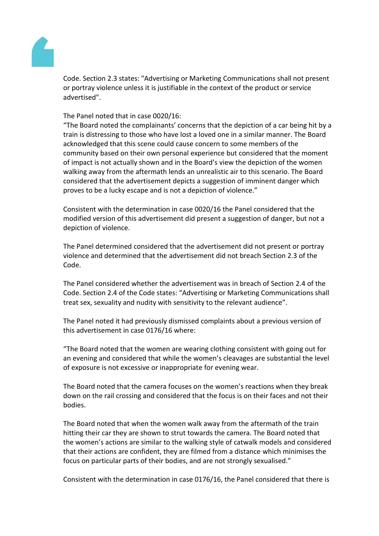

Code. Section 2.3 states: "Advertising or Marketing Communications shall not present or portray violence unless it is justifiable in the context of the product or service advertised".

The Panel noted that in case 0020/16:

"The Board noted the complainants' concerns that the depiction of a car being hit by a train is distressing to those who have lost a loved one in a similar manner. The Board acknowledged that this scene could cause concern to some members of the community based on their own personal experience but considered that the moment of impact is not actually shown and in the Board's view the depiction of the women walking away from the aftermath lends an unrealistic air to this scenario. The Board considered that the advertisement depicts a suggestion of imminent danger which proves to be a lucky escape and is not a depiction of violence."

Consistent with the determination in case 0020/16 the Panel considered that the modified version of this advertisement did present a suggestion of danger, but not a depiction of violence.

The Panel determined considered that the advertisement did not present or portray violence and determined that the advertisement did not breach Section 2.3 of the Code.

The Panel considered whether the advertisement was in breach of Section 2.4 of the Code. Section 2.4 of the Code states: "Advertising or Marketing Communications shall treat sex, sexuality and nudity with sensitivity to the relevant audience".

The Panel noted it had previously dismissed complaints about a previous version of this advertisement in case 0176/16 where:

"The Board noted that the women are wearing clothing consistent with going out for an evening and considered that while the women's cleavages are substantial the level of exposure is not excessive or inappropriate for evening wear.

The Board noted that the camera focuses on the women's reactions when they break down on the rail crossing and considered that the focus is on their faces and not their bodies.

The Board noted that when the women walk away from the aftermath of the train hitting their car they are shown to strut towards the camera. The Board noted that the women's actions are similar to the walking style of catwalk models and considered that their actions are confident, they are filmed from a distance which minimises the focus on particular parts of their bodies, and are not strongly sexualised."

Consistent with the determination in case 0176/16, the Panel considered that there is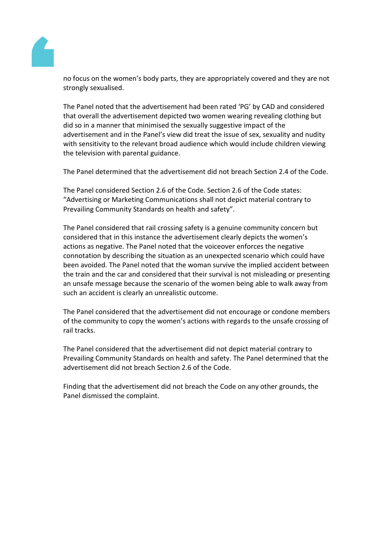

no focus on the women's body parts, they are appropriately covered and they are not strongly sexualised.

The Panel noted that the advertisement had been rated 'PG' by CAD and considered that overall the advertisement depicted two women wearing revealing clothing but did so in a manner that minimised the sexually suggestive impact of the advertisement and in the Panel's view did treat the issue of sex, sexuality and nudity with sensitivity to the relevant broad audience which would include children viewing the television with parental guidance.

The Panel determined that the advertisement did not breach Section 2.4 of the Code.

The Panel considered Section 2.6 of the Code. Section 2.6 of the Code states: "Advertising or Marketing Communications shall not depict material contrary to Prevailing Community Standards on health and safety".

The Panel considered that rail crossing safety is a genuine community concern but considered that in this instance the advertisement clearly depicts the women's actions as negative. The Panel noted that the voiceover enforces the negative connotation by describing the situation as an unexpected scenario which could have been avoided. The Panel noted that the woman survive the implied accident between the train and the car and considered that their survival is not misleading or presenting an unsafe message because the scenario of the women being able to walk away from such an accident is clearly an unrealistic outcome.

The Panel considered that the advertisement did not encourage or condone members of the community to copy the women's actions with regards to the unsafe crossing of rail tracks.

The Panel considered that the advertisement did not depict material contrary to Prevailing Community Standards on health and safety. The Panel determined that the advertisement did not breach Section 2.6 of the Code.

Finding that the advertisement did not breach the Code on any other grounds, the Panel dismissed the complaint.